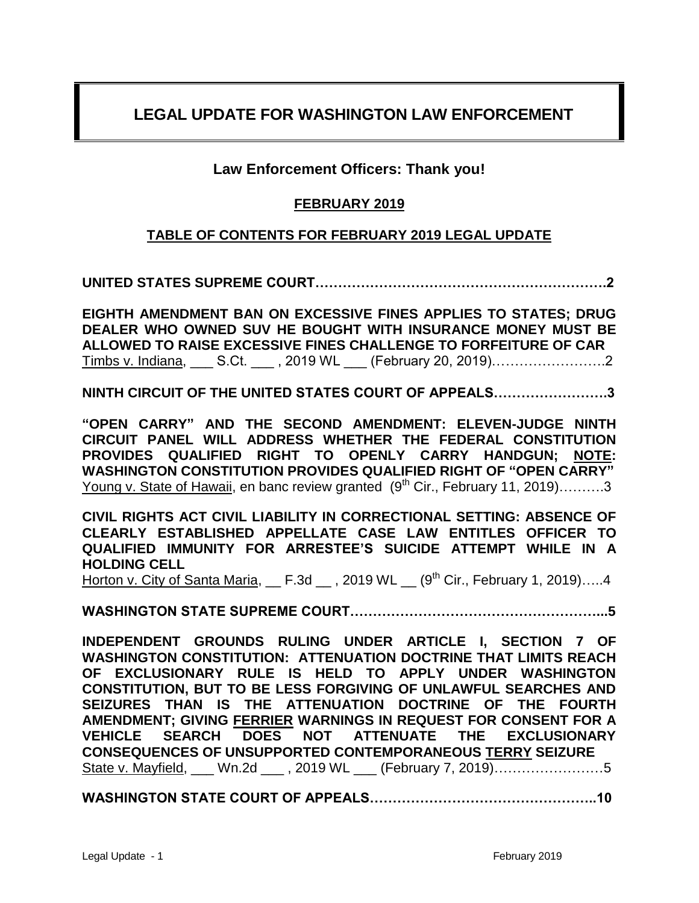# **LEGAL UPDATE FOR WASHINGTON LAW ENFORCEMENT**

# **Law Enforcement Officers: Thank you!**

# **FEBRUARY 2019**

# **TABLE OF CONTENTS FOR FEBRUARY 2019 LEGAL UPDATE**

**UNITED STATES SUPREME COURT……………………………………………………….2**

**EIGHTH AMENDMENT BAN ON EXCESSIVE FINES APPLIES TO STATES; DRUG DEALER WHO OWNED SUV HE BOUGHT WITH INSURANCE MONEY MUST BE ALLOWED TO RAISE EXCESSIVE FINES CHALLENGE TO FORFEITURE OF CAR**  Timbs v. Indiana, S.Ct. , 2019 WL (February 20, 2019)………………………………………………………………………

**NINTH CIRCUIT OF THE UNITED STATES COURT OF APPEALS…………………….3**

**"OPEN CARRY" AND THE SECOND AMENDMENT: ELEVEN-JUDGE NINTH CIRCUIT PANEL WILL ADDRESS WHETHER THE FEDERAL CONSTITUTION PROVIDES QUALIFIED RIGHT TO OPENLY CARRY HANDGUN; NOTE: WASHINGTON CONSTITUTION PROVIDES QUALIFIED RIGHT OF "OPEN CARRY"** Young v. State of Hawaii, en banc review granted  $(9<sup>th</sup> Cir., February 11, 2019)$ ………3

**CIVIL RIGHTS ACT CIVIL LIABILITY IN CORRECTIONAL SETTING: ABSENCE OF CLEARLY ESTABLISHED APPELLATE CASE LAW ENTITLES OFFICER TO QUALIFIED IMMUNITY FOR ARRESTEE'S SUICIDE ATTEMPT WHILE IN A HOLDING CELL**

Horton v. City of Santa Maria,  $E.3d$ , 2019 WL  $(9<sup>th</sup> Cir., February 1, 2019).....4$ 

**WASHINGTON STATE SUPREME COURT………………………………………………...5**

**INDEPENDENT GROUNDS RULING UNDER ARTICLE I, SECTION 7 OF WASHINGTON CONSTITUTION: ATTENUATION DOCTRINE THAT LIMITS REACH OF EXCLUSIONARY RULE IS HELD TO APPLY UNDER WASHINGTON CONSTITUTION, BUT TO BE LESS FORGIVING OF UNLAWFUL SEARCHES AND SEIZURES THAN IS THE ATTENUATION DOCTRINE OF THE FOURTH AMENDMENT; GIVING FERRIER WARNINGS IN REQUEST FOR CONSENT FOR A VEHICLE SEARCH DOES NOT ATTENUATE THE EXCLUSIONARY CONSEQUENCES OF UNSUPPORTED CONTEMPORANEOUS TERRY SEIZURE**  State v. Mayfield, \_\_\_ Wn.2d \_\_\_ , 2019 WL \_\_\_ (February 7, 2019)……………………5

**WASHINGTON STATE COURT OF APPEALS…………………………………………..10**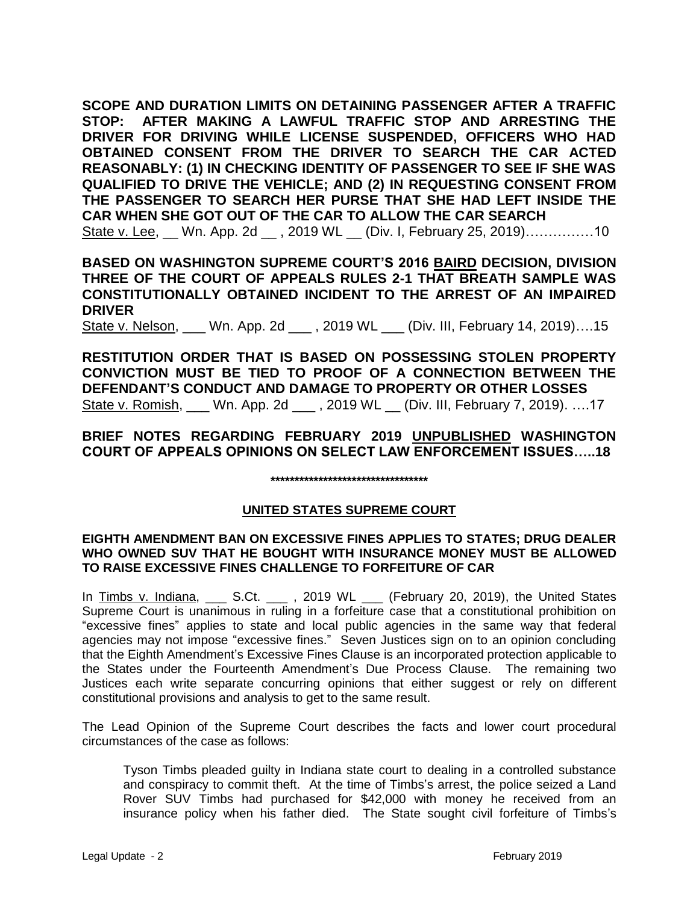**SCOPE AND DURATION LIMITS ON DETAINING PASSENGER AFTER A TRAFFIC STOP: AFTER MAKING A LAWFUL TRAFFIC STOP AND ARRESTING THE DRIVER FOR DRIVING WHILE LICENSE SUSPENDED, OFFICERS WHO HAD OBTAINED CONSENT FROM THE DRIVER TO SEARCH THE CAR ACTED REASONABLY: (1) IN CHECKING IDENTITY OF PASSENGER TO SEE IF SHE WAS QUALIFIED TO DRIVE THE VEHICLE; AND (2) IN REQUESTING CONSENT FROM THE PASSENGER TO SEARCH HER PURSE THAT SHE HAD LEFT INSIDE THE CAR WHEN SHE GOT OUT OF THE CAR TO ALLOW THE CAR SEARCH** State v. Lee, \_\_ Wn. App. 2d \_\_ , 2019 WL \_\_ (Div. I, February 25, 2019)……………10

**BASED ON WASHINGTON SUPREME COURT'S 2016 BAIRD DECISION, DIVISION THREE OF THE COURT OF APPEALS RULES 2-1 THAT BREATH SAMPLE WAS CONSTITUTIONALLY OBTAINED INCIDENT TO THE ARREST OF AN IMPAIRED DRIVER**

State v. Nelson, Wn. App. 2d . 2019 WL (Div. III, February 14, 2019)….15

**RESTITUTION ORDER THAT IS BASED ON POSSESSING STOLEN PROPERTY CONVICTION MUST BE TIED TO PROOF OF A CONNECTION BETWEEN THE DEFENDANT'S CONDUCT AND DAMAGE TO PROPERTY OR OTHER LOSSES** State v. Romish, \_\_\_ Wn. App. 2d \_\_\_ , 2019 WL \_\_ (Div. III, February 7, 2019). ….17

# **BRIEF NOTES REGARDING FEBRUARY 2019 UNPUBLISHED WASHINGTON COURT OF APPEALS OPINIONS ON SELECT LAW ENFORCEMENT ISSUES…..18**

**\*\*\*\*\*\*\*\*\*\*\*\*\*\*\*\*\*\*\*\*\*\*\*\*\*\*\*\*\*\*\*\*\***

# **UNITED STATES SUPREME COURT**

### **EIGHTH AMENDMENT BAN ON EXCESSIVE FINES APPLIES TO STATES; DRUG DEALER WHO OWNED SUV THAT HE BOUGHT WITH INSURANCE MONEY MUST BE ALLOWED TO RAISE EXCESSIVE FINES CHALLENGE TO FORFEITURE OF CAR**

In Timbs v. Indiana, \_\_\_ S.Ct. \_\_\_ , 2019 WL \_\_\_ (February 20, 2019), the United States Supreme Court is unanimous in ruling in a forfeiture case that a constitutional prohibition on "excessive fines" applies to state and local public agencies in the same way that federal agencies may not impose "excessive fines." Seven Justices sign on to an opinion concluding that the Eighth Amendment's Excessive Fines Clause is an incorporated protection applicable to the States under the Fourteenth Amendment's Due Process Clause. The remaining two Justices each write separate concurring opinions that either suggest or rely on different constitutional provisions and analysis to get to the same result.

The Lead Opinion of the Supreme Court describes the facts and lower court procedural circumstances of the case as follows:

Tyson Timbs pleaded guilty in Indiana state court to dealing in a controlled substance and conspiracy to commit theft. At the time of Timbs's arrest, the police seized a Land Rover SUV Timbs had purchased for \$42,000 with money he received from an insurance policy when his father died. The State sought civil forfeiture of Timbs's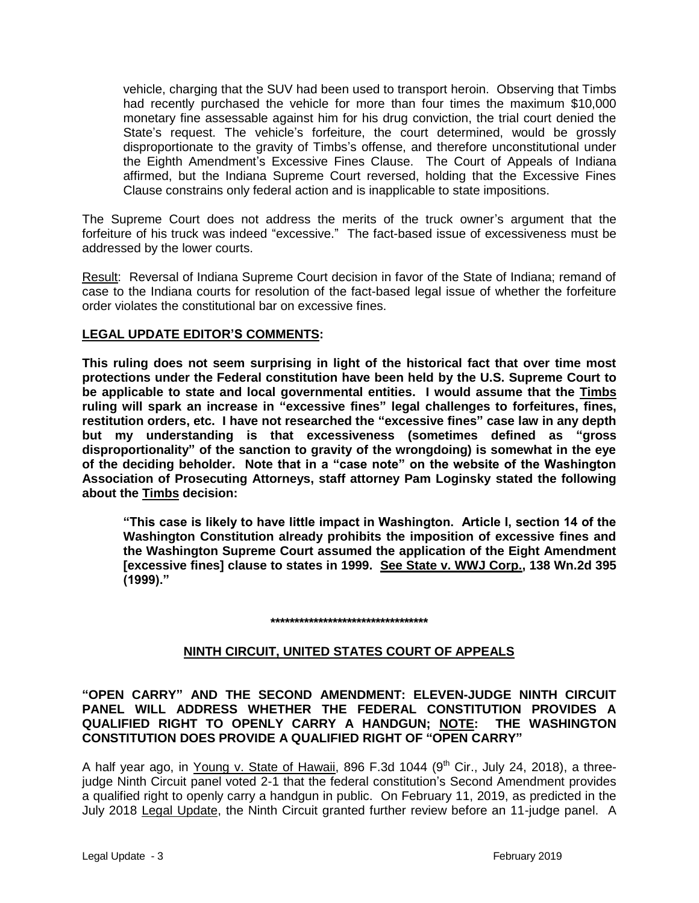vehicle, charging that the SUV had been used to transport heroin. Observing that Timbs had recently purchased the vehicle for more than four times the maximum \$10,000 monetary fine assessable against him for his drug conviction, the trial court denied the State's request. The vehicle's forfeiture, the court determined, would be grossly disproportionate to the gravity of Timbs's offense, and therefore unconstitutional under the Eighth Amendment's Excessive Fines Clause. The Court of Appeals of Indiana affirmed, but the Indiana Supreme Court reversed, holding that the Excessive Fines Clause constrains only federal action and is inapplicable to state impositions.

The Supreme Court does not address the merits of the truck owner's argument that the forfeiture of his truck was indeed "excessive." The fact-based issue of excessiveness must be addressed by the lower courts.

Result: Reversal of Indiana Supreme Court decision in favor of the State of Indiana; remand of case to the Indiana courts for resolution of the fact-based legal issue of whether the forfeiture order violates the constitutional bar on excessive fines.

# **LEGAL UPDATE EDITOR'S COMMENTS:**

**This ruling does not seem surprising in light of the historical fact that over time most protections under the Federal constitution have been held by the U.S. Supreme Court to be applicable to state and local governmental entities. I would assume that the Timbs ruling will spark an increase in "excessive fines" legal challenges to forfeitures, fines, restitution orders, etc. I have not researched the "excessive fines" case law in any depth but my understanding is that excessiveness (sometimes defined as "gross disproportionality" of the sanction to gravity of the wrongdoing) is somewhat in the eye of the deciding beholder. Note that in a "case note" on the website of the Washington Association of Prosecuting Attorneys, staff attorney Pam Loginsky stated the following about the Timbs decision:**

**"This case is likely to have little impact in Washington. Article I, section 14 of the Washington Constitution already prohibits the imposition of excessive fines and the Washington Supreme Court assumed the application of the Eight Amendment [excessive fines] clause to states in 1999. See State v. WWJ Corp., 138 Wn.2d 395 (1999)."** 

#### **\*\*\*\*\*\*\*\*\*\*\*\*\*\*\*\*\*\*\*\*\*\*\*\*\*\*\*\*\*\*\*\*\***

# **NINTH CIRCUIT, UNITED STATES COURT OF APPEALS**

**"OPEN CARRY" AND THE SECOND AMENDMENT: ELEVEN-JUDGE NINTH CIRCUIT PANEL WILL ADDRESS WHETHER THE FEDERAL CONSTITUTION PROVIDES A QUALIFIED RIGHT TO OPENLY CARRY A HANDGUN; NOTE: THE WASHINGTON CONSTITUTION DOES PROVIDE A QUALIFIED RIGHT OF "OPEN CARRY"**

A half year ago, in Young v. State of Hawaii, 896 F.3d 1044 (9<sup>th</sup> Cir., July 24, 2018), a threejudge Ninth Circuit panel voted 2-1 that the federal constitution's Second Amendment provides a qualified right to openly carry a handgun in public. On February 11, 2019, as predicted in the July 2018 Legal Update, the Ninth Circuit granted further review before an 11-judge panel. A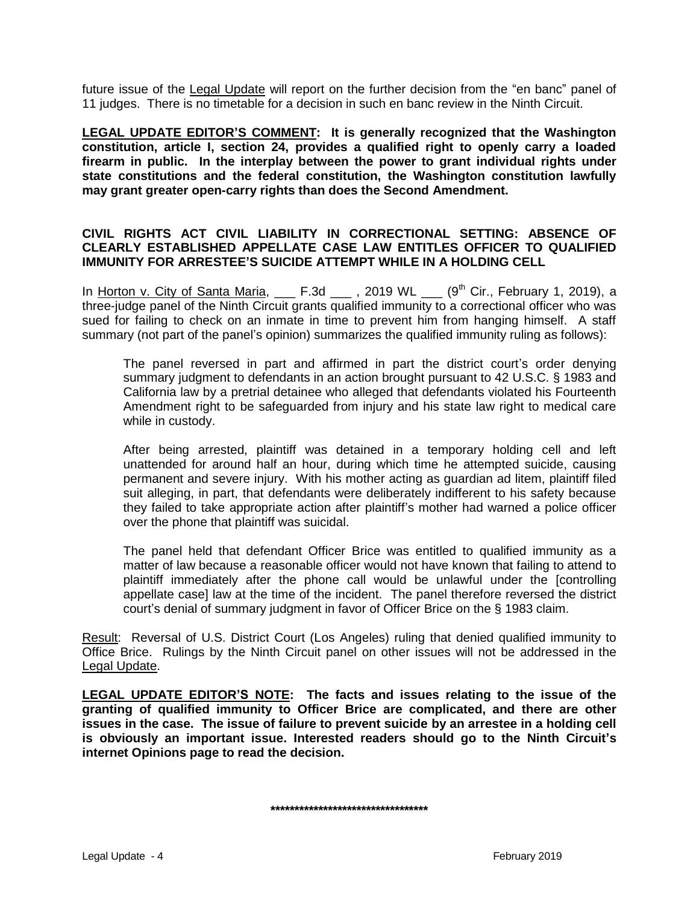future issue of the Legal Update will report on the further decision from the "en banc" panel of 11 judges. There is no timetable for a decision in such en banc review in the Ninth Circuit.

**LEGAL UPDATE EDITOR'S COMMENT: It is generally recognized that the Washington constitution, article I, section 24, provides a qualified right to openly carry a loaded firearm in public. In the interplay between the power to grant individual rights under state constitutions and the federal constitution, the Washington constitution lawfully may grant greater open-carry rights than does the Second Amendment.** 

### **CIVIL RIGHTS ACT CIVIL LIABILITY IN CORRECTIONAL SETTING: ABSENCE OF CLEARLY ESTABLISHED APPELLATE CASE LAW ENTITLES OFFICER TO QUALIFIED IMMUNITY FOR ARRESTEE'S SUICIDE ATTEMPT WHILE IN A HOLDING CELL**

In Horton v. City of Santa Maria, \_\_\_ F.3d \_\_\_ , 2019 WL \_\_\_ (9<sup>th</sup> Cir., February 1, 2019), a three-judge panel of the Ninth Circuit grants qualified immunity to a correctional officer who was sued for failing to check on an inmate in time to prevent him from hanging himself. A staff summary (not part of the panel's opinion) summarizes the qualified immunity ruling as follows):

The panel reversed in part and affirmed in part the district court's order denying summary judgment to defendants in an action brought pursuant to 42 U.S.C. § 1983 and California law by a pretrial detainee who alleged that defendants violated his Fourteenth Amendment right to be safeguarded from injury and his state law right to medical care while in custody.

After being arrested, plaintiff was detained in a temporary holding cell and left unattended for around half an hour, during which time he attempted suicide, causing permanent and severe injury. With his mother acting as guardian ad litem, plaintiff filed suit alleging, in part, that defendants were deliberately indifferent to his safety because they failed to take appropriate action after plaintiff's mother had warned a police officer over the phone that plaintiff was suicidal.

The panel held that defendant Officer Brice was entitled to qualified immunity as a matter of law because a reasonable officer would not have known that failing to attend to plaintiff immediately after the phone call would be unlawful under the [controlling appellate case] law at the time of the incident. The panel therefore reversed the district court's denial of summary judgment in favor of Officer Brice on the § 1983 claim.

Result: Reversal of U.S. District Court (Los Angeles) ruling that denied qualified immunity to Office Brice. Rulings by the Ninth Circuit panel on other issues will not be addressed in the Legal Update.

**LEGAL UPDATE EDITOR'S NOTE: The facts and issues relating to the issue of the granting of qualified immunity to Officer Brice are complicated, and there are other issues in the case. The issue of failure to prevent suicide by an arrestee in a holding cell is obviously an important issue. Interested readers should go to the Ninth Circuit's internet Opinions page to read the decision.**

**\*\*\*\*\*\*\*\*\*\*\*\*\*\*\*\*\*\*\*\*\*\*\*\*\*\*\*\*\*\*\*\*\***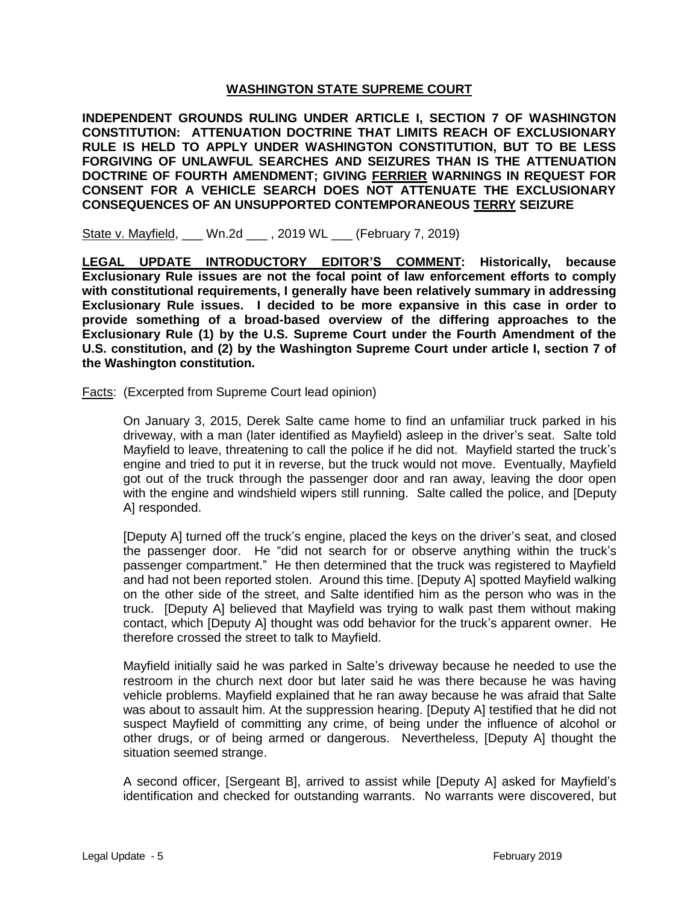# **WASHINGTON STATE SUPREME COURT**

**INDEPENDENT GROUNDS RULING UNDER ARTICLE I, SECTION 7 OF WASHINGTON CONSTITUTION: ATTENUATION DOCTRINE THAT LIMITS REACH OF EXCLUSIONARY RULE IS HELD TO APPLY UNDER WASHINGTON CONSTITUTION, BUT TO BE LESS FORGIVING OF UNLAWFUL SEARCHES AND SEIZURES THAN IS THE ATTENUATION DOCTRINE OF FOURTH AMENDMENT; GIVING FERRIER WARNINGS IN REQUEST FOR CONSENT FOR A VEHICLE SEARCH DOES NOT ATTENUATE THE EXCLUSIONARY CONSEQUENCES OF AN UNSUPPORTED CONTEMPORANEOUS TERRY SEIZURE**

State v. Mayfield, \_\_\_ Wn.2d \_\_\_ , 2019 WL \_\_\_ (February 7, 2019)

**LEGAL UPDATE INTRODUCTORY EDITOR'S COMMENT: Historically, because Exclusionary Rule issues are not the focal point of law enforcement efforts to comply with constitutional requirements, I generally have been relatively summary in addressing Exclusionary Rule issues. I decided to be more expansive in this case in order to provide something of a broad-based overview of the differing approaches to the Exclusionary Rule (1) by the U.S. Supreme Court under the Fourth Amendment of the U.S. constitution, and (2) by the Washington Supreme Court under article I, section 7 of the Washington constitution.**

Facts: (Excerpted from Supreme Court lead opinion)

On January 3, 2015, Derek Salte came home to find an unfamiliar truck parked in his driveway, with a man (later identified as Mayfield) asleep in the driver's seat. Salte told Mayfield to leave, threatening to call the police if he did not. Mayfield started the truck's engine and tried to put it in reverse, but the truck would not move. Eventually, Mayfield got out of the truck through the passenger door and ran away, leaving the door open with the engine and windshield wipers still running. Salte called the police, and [Deputy A] responded.

[Deputy A] turned off the truck's engine, placed the keys on the driver's seat, and closed the passenger door. He "did not search for or observe anything within the truck's passenger compartment." He then determined that the truck was registered to Mayfield and had not been reported stolen. Around this time. [Deputy A] spotted Mayfield walking on the other side of the street, and Salte identified him as the person who was in the truck. [Deputy A] believed that Mayfield was trying to walk past them without making contact, which [Deputy A] thought was odd behavior for the truck's apparent owner. He therefore crossed the street to talk to Mayfield.

Mayfield initially said he was parked in Salte's driveway because he needed to use the restroom in the church next door but later said he was there because he was having vehicle problems. Mayfield explained that he ran away because he was afraid that Salte was about to assault him. At the suppression hearing. [Deputy A] testified that he did not suspect Mayfield of committing any crime, of being under the influence of alcohol or other drugs, or of being armed or dangerous. Nevertheless, [Deputy A] thought the situation seemed strange.

A second officer, [Sergeant B], arrived to assist while [Deputy A] asked for Mayfield's identification and checked for outstanding warrants. No warrants were discovered, but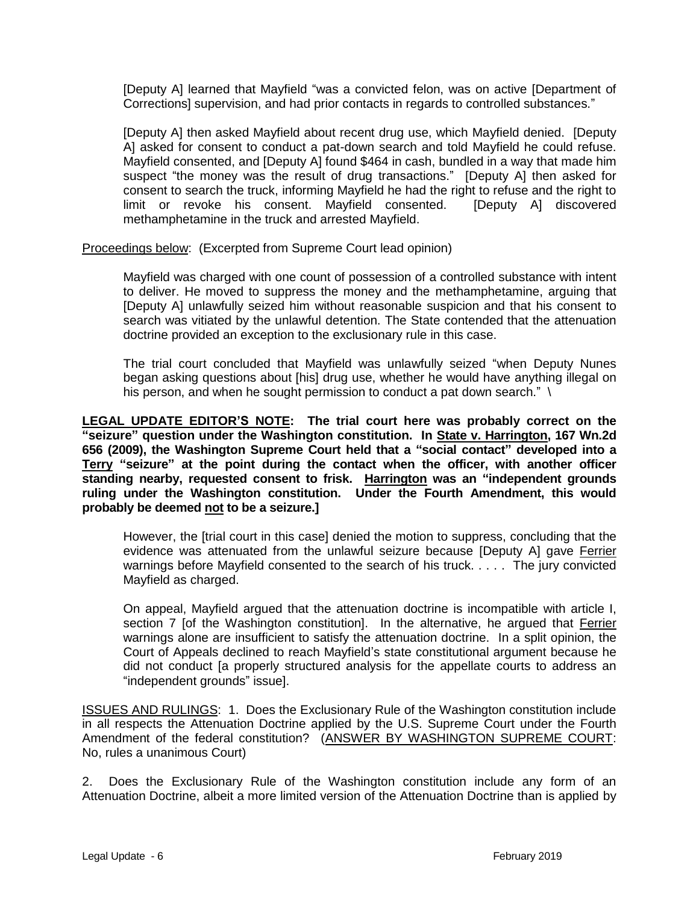[Deputy A] learned that Mayfield "was a convicted felon, was on active [Department of Corrections] supervision, and had prior contacts in regards to controlled substances."

[Deputy A] then asked Mayfield about recent drug use, which Mayfield denied. [Deputy A] asked for consent to conduct a pat-down search and told Mayfield he could refuse. Mayfield consented, and [Deputy A] found \$464 in cash, bundled in a way that made him suspect "the money was the result of drug transactions." [Deputy A] then asked for consent to search the truck, informing Mayfield he had the right to refuse and the right to limit or revoke his consent. Mayfield consented. [Deputy A] discovered methamphetamine in the truck and arrested Mayfield.

Proceedings below: (Excerpted from Supreme Court lead opinion)

Mayfield was charged with one count of possession of a controlled substance with intent to deliver. He moved to suppress the money and the methamphetamine, arguing that [Deputy A] unlawfully seized him without reasonable suspicion and that his consent to search was vitiated by the unlawful detention. The State contended that the attenuation doctrine provided an exception to the exclusionary rule in this case.

The trial court concluded that Mayfield was unlawfully seized "when Deputy Nunes began asking questions about [his] drug use, whether he would have anything illegal on his person, and when he sought permission to conduct a pat down search." \

**LEGAL UPDATE EDITOR'S NOTE: The trial court here was probably correct on the "seizure" question under the Washington constitution. In State v. Harrington, 167 Wn.2d 656 (2009), the Washington Supreme Court held that a "social contact" developed into a Terry "seizure" at the point during the contact when the officer, with another officer standing nearby, requested consent to frisk. Harrington was an "independent grounds ruling under the Washington constitution. Under the Fourth Amendment, this would probably be deemed not to be a seizure.]**

However, the [trial court in this case] denied the motion to suppress, concluding that the evidence was attenuated from the unlawful seizure because [Deputy A] gave Ferrier warnings before Mayfield consented to the search of his truck. . . . . The jury convicted Mayfield as charged.

On appeal, Mayfield argued that the attenuation doctrine is incompatible with article I, section 7 [of the Washington constitution]. In the alternative, he argued that Ferrier warnings alone are insufficient to satisfy the attenuation doctrine. In a split opinion, the Court of Appeals declined to reach Mayfield's state constitutional argument because he did not conduct [a properly structured analysis for the appellate courts to address an "independent grounds" issue].

ISSUES AND RULINGS: 1. Does the Exclusionary Rule of the Washington constitution include in all respects the Attenuation Doctrine applied by the U.S. Supreme Court under the Fourth Amendment of the federal constitution? (ANSWER BY WASHINGTON SUPREME COURT: No, rules a unanimous Court)

2. Does the Exclusionary Rule of the Washington constitution include any form of an Attenuation Doctrine, albeit a more limited version of the Attenuation Doctrine than is applied by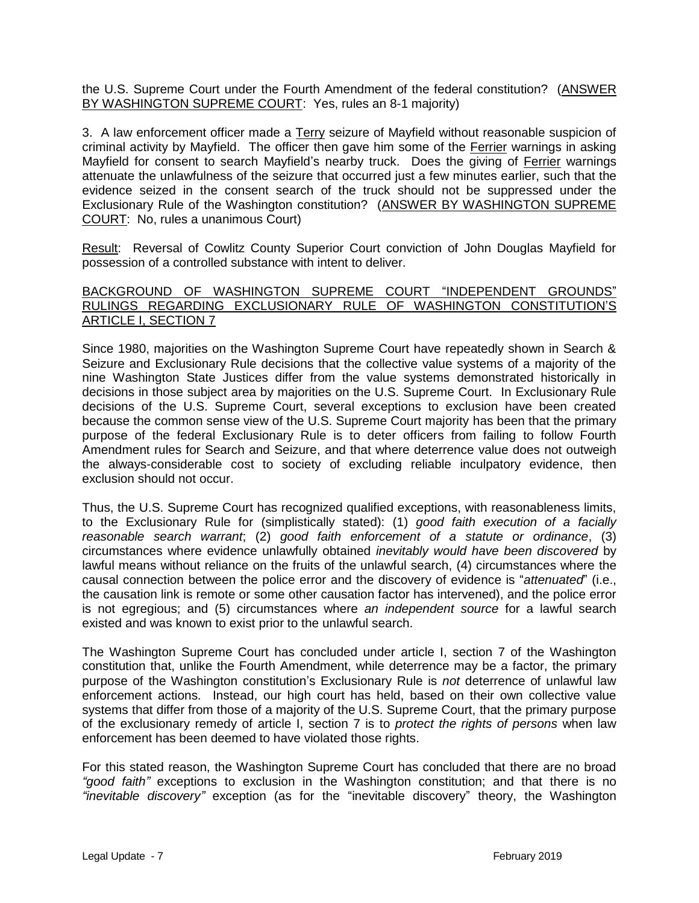the U.S. Supreme Court under the Fourth Amendment of the federal constitution? (ANSWER BY WASHINGTON SUPREME COURT: Yes, rules an 8-1 majority)

3. A law enforcement officer made a Terry seizure of Mayfield without reasonable suspicion of criminal activity by Mayfield. The officer then gave him some of the Ferrier warnings in asking Mayfield for consent to search Mayfield's nearby truck. Does the giving of Ferrier warnings attenuate the unlawfulness of the seizure that occurred just a few minutes earlier, such that the evidence seized in the consent search of the truck should not be suppressed under the Exclusionary Rule of the Washington constitution? (ANSWER BY WASHINGTON SUPREME COURT: No, rules a unanimous Court)

Result: Reversal of Cowlitz County Superior Court conviction of John Douglas Mayfield for possession of a controlled substance with intent to deliver.

### BACKGROUND OF WASHINGTON SUPREME COURT "INDEPENDENT GROUNDS" RULINGS REGARDING EXCLUSIONARY RULE OF WASHINGTON CONSTITUTION'S ARTICLE I, SECTION 7

Since 1980, majorities on the Washington Supreme Court have repeatedly shown in Search & Seizure and Exclusionary Rule decisions that the collective value systems of a majority of the nine Washington State Justices differ from the value systems demonstrated historically in decisions in those subject area by majorities on the U.S. Supreme Court. In Exclusionary Rule decisions of the U.S. Supreme Court, several exceptions to exclusion have been created because the common sense view of the U.S. Supreme Court majority has been that the primary purpose of the federal Exclusionary Rule is to deter officers from failing to follow Fourth Amendment rules for Search and Seizure, and that where deterrence value does not outweigh the always-considerable cost to society of excluding reliable inculpatory evidence, then exclusion should not occur.

Thus, the U.S. Supreme Court has recognized qualified exceptions, with reasonableness limits, to the Exclusionary Rule for (simplistically stated): (1) *good faith execution of a facially reasonable search warrant*; (2) *good faith enforcement of a statute or ordinance*, (3) circumstances where evidence unlawfully obtained *inevitably would have been discovered* by lawful means without reliance on the fruits of the unlawful search, (4) circumstances where the causal connection between the police error and the discovery of evidence is "*attenuated*" (i.e., the causation link is remote or some other causation factor has intervened), and the police error is not egregious; and (5) circumstances where *an independent source* for a lawful search existed and was known to exist prior to the unlawful search.

The Washington Supreme Court has concluded under article I, section 7 of the Washington constitution that, unlike the Fourth Amendment, while deterrence may be a factor, the primary purpose of the Washington constitution's Exclusionary Rule is *not* deterrence of unlawful law enforcement actions. Instead, our high court has held, based on their own collective value systems that differ from those of a majority of the U.S. Supreme Court, that the primary purpose of the exclusionary remedy of article I, section 7 is to *protect the rights of persons* when law enforcement has been deemed to have violated those rights.

For this stated reason, the Washington Supreme Court has concluded that there are no broad *"good faith"* exceptions to exclusion in the Washington constitution; and that there is no *"inevitable discovery"* exception (as for the "inevitable discovery" theory, the Washington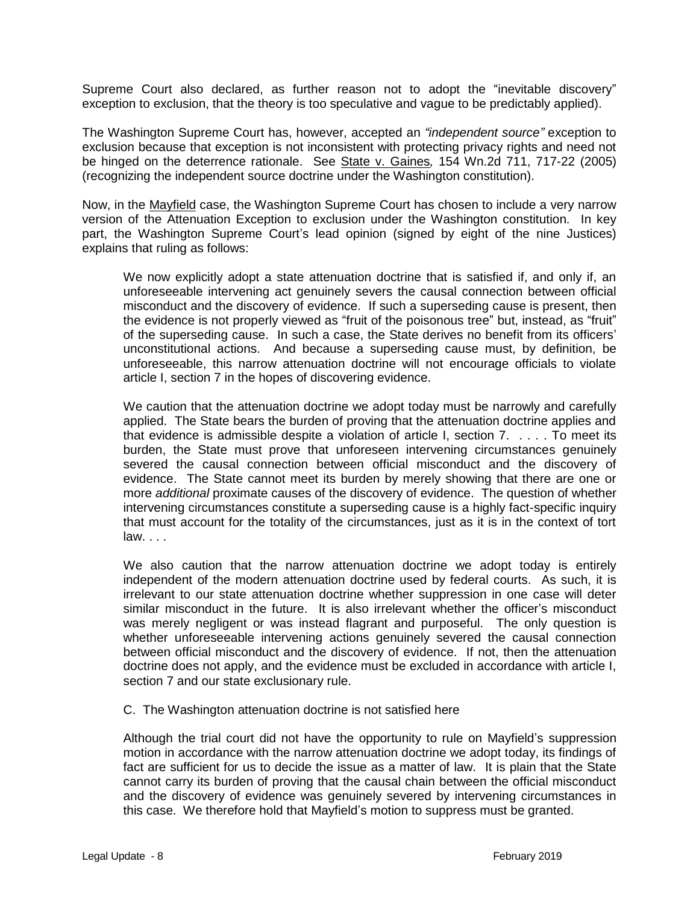Supreme Court also declared, as further reason not to adopt the "inevitable discovery" exception to exclusion, that the theory is too speculative and vague to be predictably applied).

The Washington Supreme Court has, however, accepted an *"independent source"* exception to exclusion because that exception is not inconsistent with protecting privacy rights and need not be hinged on the deterrence rationale. See State v. Gaines*,* [154 Wn.2d 711,](http://lawriter.net/getCitState.aspx?series=Wn.2d&citationno=154+Wn.2d+711&scd=WA) 717-22 (2005) (recognizing the independent source doctrine under the Washington constitution).

Now, in the Mayfield case, the Washington Supreme Court has chosen to include a very narrow version of the Attenuation Exception to exclusion under the Washington constitution. In key part, the Washington Supreme Court's lead opinion (signed by eight of the nine Justices) explains that ruling as follows:

We now explicitly adopt a state attenuation doctrine that is satisfied if, and only if, an unforeseeable intervening act genuinely severs the causal connection between official misconduct and the discovery of evidence. If such a superseding cause is present, then the evidence is not properly viewed as "fruit of the poisonous tree" but, instead, as "fruit" of the superseding cause. In such a case, the State derives no benefit from its officers' unconstitutional actions. And because a superseding cause must, by definition, be unforeseeable, this narrow attenuation doctrine will not encourage officials to violate article I, section 7 in the hopes of discovering evidence.

We caution that the attenuation doctrine we adopt today must be narrowly and carefully applied. The State bears the burden of proving that the attenuation doctrine applies and that evidence is admissible despite a violation of article I, section 7. . . . . To meet its burden, the State must prove that unforeseen intervening circumstances genuinely severed the causal connection between official misconduct and the discovery of evidence. The State cannot meet its burden by merely showing that there are one or more *additional* proximate causes of the discovery of evidence. The question of whether intervening circumstances constitute a superseding cause is a highly fact-specific inquiry that must account for the totality of the circumstances, just as it is in the context of tort law. . . .

We also caution that the narrow attenuation doctrine we adopt today is entirely independent of the modern attenuation doctrine used by federal courts. As such, it is irrelevant to our state attenuation doctrine whether suppression in one case will deter similar misconduct in the future. It is also irrelevant whether the officer's misconduct was merely negligent or was instead flagrant and purposeful. The only question is whether unforeseeable intervening actions genuinely severed the causal connection between official misconduct and the discovery of evidence. If not, then the attenuation doctrine does not apply, and the evidence must be excluded in accordance with article I, section 7 and our state exclusionary rule.

C. The Washington attenuation doctrine is not satisfied here

Although the trial court did not have the opportunity to rule on Mayfield's suppression motion in accordance with the narrow attenuation doctrine we adopt today, its findings of fact are sufficient for us to decide the issue as a matter of law. It is plain that the State cannot carry its burden of proving that the causal chain between the official misconduct and the discovery of evidence was genuinely severed by intervening circumstances in this case. We therefore hold that Mayfield's motion to suppress must be granted.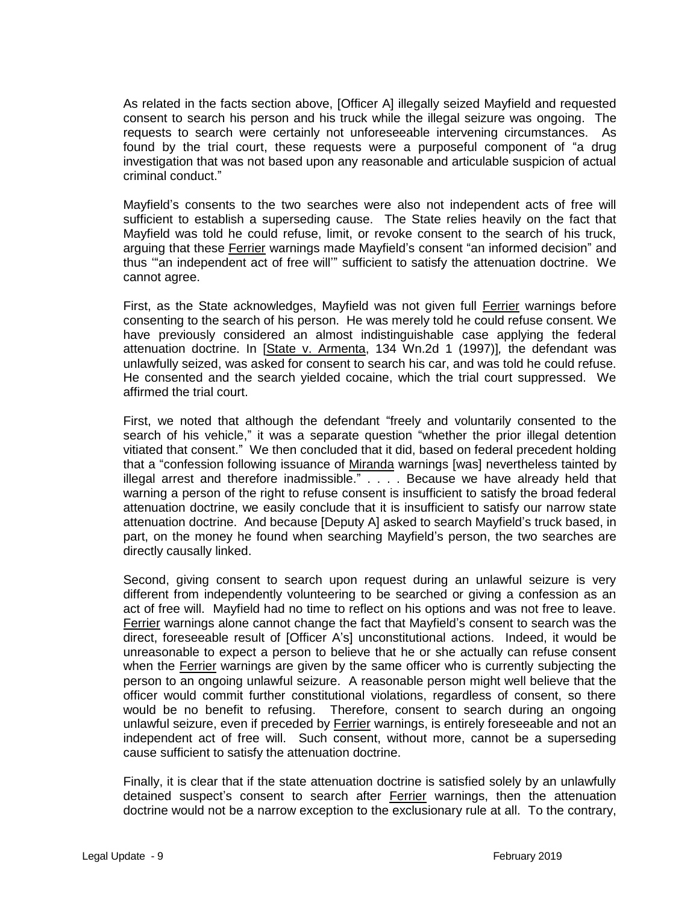As related in the facts section above, [Officer A] illegally seized Mayfield and requested consent to search his person and his truck while the illegal seizure was ongoing. The requests to search were certainly not unforeseeable intervening circumstances. As found by the trial court, these requests were a purposeful component of "a drug investigation that was not based upon any reasonable and articulable suspicion of actual criminal conduct."

Mayfield's consents to the two searches were also not independent acts of free will sufficient to establish a superseding cause. The State relies heavily on the fact that Mayfield was told he could refuse, limit, or revoke consent to the search of his truck, arguing that these Ferrier warnings made Mayfield's consent "an informed decision" and thus '"an independent act of free will'" sufficient to satisfy the attenuation doctrine. We cannot agree.

First, as the State acknowledges, Mayfield was not given full Ferrier warnings before consenting to the search of his person. He was merely told he could refuse consent. We have previously considered an almost indistinguishable case applying the federal attenuation doctrine. In [State v. Armenta, 134 Wn.2d 1 (1997)]*,* the defendant was unlawfully seized, was asked for consent to search his car, and was told he could refuse. He consented and the search yielded cocaine, which the trial court suppressed. We affirmed the trial court.

First, we noted that although the defendant "freely and voluntarily consented to the search of his vehicle," it was a separate question "whether the prior illegal detention vitiated that consent." We then concluded that it did, based on federal precedent holding that a "confession following issuance of Miranda warnings [was] nevertheless tainted by illegal arrest and therefore inadmissible." . . . . Because we have already held that warning a person of the right to refuse consent is insufficient to satisfy the broad federal attenuation doctrine, we easily conclude that it is insufficient to satisfy our narrow state attenuation doctrine. And because [Deputy A] asked to search Mayfield's truck based, in part, on the money he found when searching Mayfield's person, the two searches are directly causally linked.

Second, giving consent to search upon request during an unlawful seizure is very different from independently volunteering to be searched or giving a confession as an act of free will. Mayfield had no time to reflect on his options and was not free to leave. Ferrier warnings alone cannot change the fact that Mayfield's consent to search was the direct, foreseeable result of [Officer A's] unconstitutional actions. Indeed, it would be unreasonable to expect a person to believe that he or she actually can refuse consent when the Ferrier warnings are given by the same officer who is currently subjecting the person to an ongoing unlawful seizure. A reasonable person might well believe that the officer would commit further constitutional violations, regardless of consent, so there would be no benefit to refusing. Therefore, consent to search during an ongoing unlawful seizure, even if preceded by Ferrier warnings, is entirely foreseeable and not an independent act of free will. Such consent, without more, cannot be a superseding cause sufficient to satisfy the attenuation doctrine.

Finally, it is clear that if the state attenuation doctrine is satisfied solely by an unlawfully detained suspect's consent to search after Ferrier warnings, then the attenuation doctrine would not be a narrow exception to the exclusionary rule at all. To the contrary,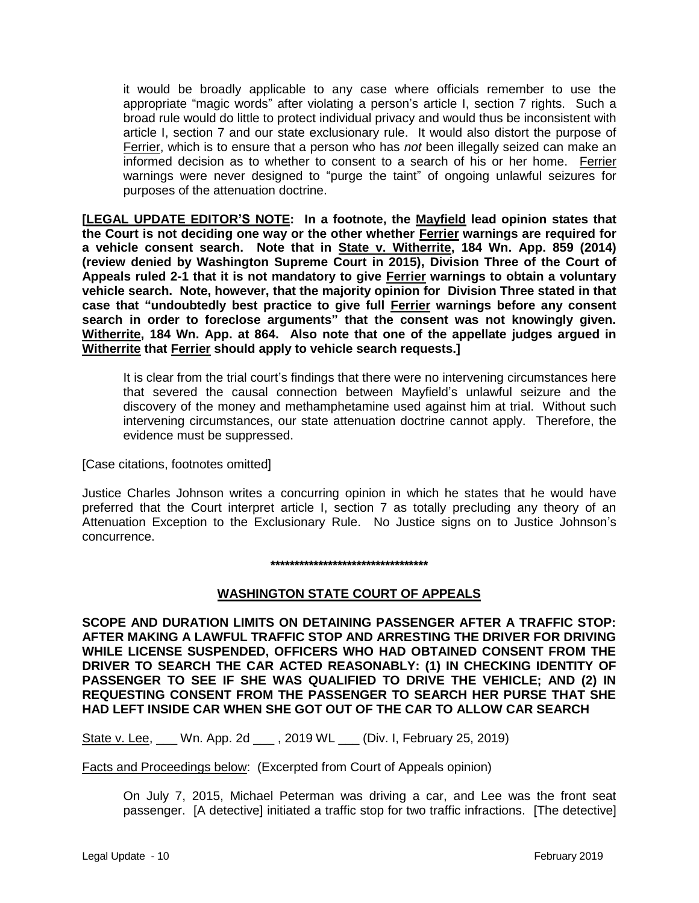it would be broadly applicable to any case where officials remember to use the appropriate "magic words" after violating a person's article I, section 7 rights. Such a broad rule would do little to protect individual privacy and would thus be inconsistent with article I, section 7 and our state exclusionary rule. It would also distort the purpose of Ferrier, which is to ensure that a person who has *not* been illegally seized can make an informed decision as to whether to consent to a search of his or her home. Ferrier warnings were never designed to "purge the taint" of ongoing unlawful seizures for purposes of the attenuation doctrine.

**[LEGAL UPDATE EDITOR'S NOTE: In a footnote, the Mayfield lead opinion states that the Court is not deciding one way or the other whether Ferrier warnings are required for a vehicle consent search. Note that in State v. Witherrite, 184 Wn. App. 859 (2014) (review denied by Washington Supreme Court in 2015), Division Three of the Court of Appeals ruled 2-1 that it is not mandatory to give Ferrier warnings to obtain a voluntary vehicle search. Note, however, that the majority opinion for Division Three stated in that case that "undoubtedly best practice to give full Ferrier warnings before any consent search in order to foreclose arguments" that the consent was not knowingly given. Witherrite, 184 Wn. App. at 864. Also note that one of the appellate judges argued in Witherrite that Ferrier should apply to vehicle search requests.]**

It is clear from the trial court's findings that there were no intervening circumstances here that severed the causal connection between Mayfield's unlawful seizure and the discovery of the money and methamphetamine used against him at trial. Without such intervening circumstances, our state attenuation doctrine cannot apply. Therefore, the evidence must be suppressed.

[Case citations, footnotes omitted]

Justice Charles Johnson writes a concurring opinion in which he states that he would have preferred that the Court interpret article I, section 7 as totally precluding any theory of an Attenuation Exception to the Exclusionary Rule. No Justice signs on to Justice Johnson's concurrence.

#### **\*\*\*\*\*\*\*\*\*\*\*\*\*\*\*\*\*\*\*\*\*\*\*\*\*\*\*\*\*\*\*\*\***

# **WASHINGTON STATE COURT OF APPEALS**

**SCOPE AND DURATION LIMITS ON DETAINING PASSENGER AFTER A TRAFFIC STOP: AFTER MAKING A LAWFUL TRAFFIC STOP AND ARRESTING THE DRIVER FOR DRIVING WHILE LICENSE SUSPENDED, OFFICERS WHO HAD OBTAINED CONSENT FROM THE DRIVER TO SEARCH THE CAR ACTED REASONABLY: (1) IN CHECKING IDENTITY OF PASSENGER TO SEE IF SHE WAS QUALIFIED TO DRIVE THE VEHICLE; AND (2) IN REQUESTING CONSENT FROM THE PASSENGER TO SEARCH HER PURSE THAT SHE HAD LEFT INSIDE CAR WHEN SHE GOT OUT OF THE CAR TO ALLOW CAR SEARCH** 

State v. Lee, 1 Wn. App. 2d 1, 2019 WL 1 (Div. I, February 25, 2019)

Facts and Proceedings below: (Excerpted from Court of Appeals opinion)

On July 7, 2015, Michael Peterman was driving a car, and Lee was the front seat passenger. [A detective] initiated a traffic stop for two traffic infractions. [The detective]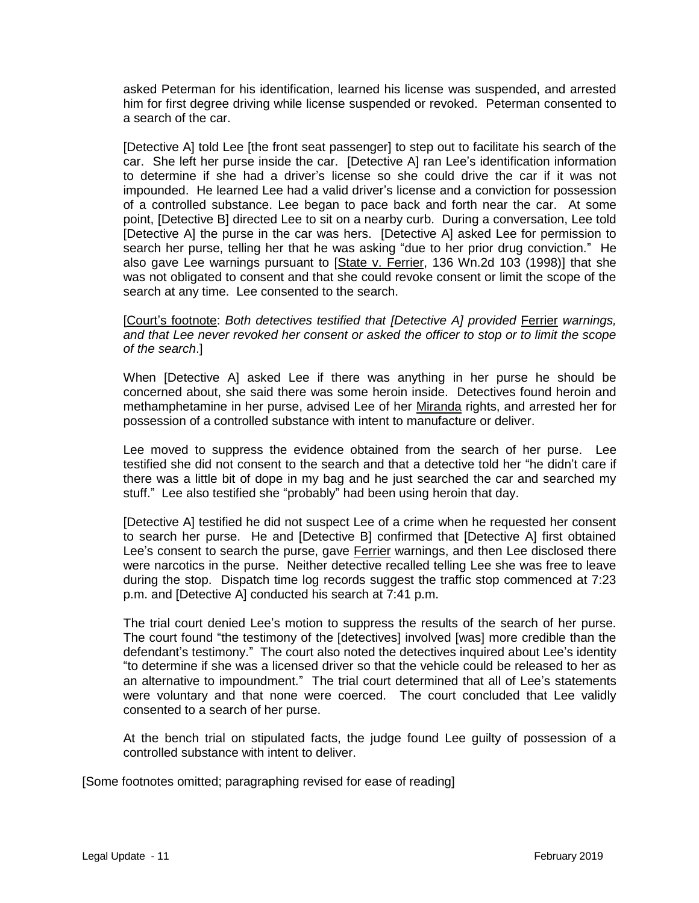asked Peterman for his identification, learned his license was suspended, and arrested him for first degree driving while license suspended or revoked. Peterman consented to a search of the car.

[Detective A] told Lee [the front seat passenger] to step out to facilitate his search of the car. She left her purse inside the car. [Detective A] ran Lee's identification information to determine if she had a driver's license so she could drive the car if it was not impounded. He learned Lee had a valid driver's license and a conviction for possession of a controlled substance. Lee began to pace back and forth near the car. At some point, [Detective B] directed Lee to sit on a nearby curb. During a conversation, Lee told [Detective A] the purse in the car was hers. [Detective A] asked Lee for permission to search her purse, telling her that he was asking "due to her prior drug conviction." He also gave Lee warnings pursuant to [State v. Ferrier, 136 Wn.2d 103 (1998)] that she was not obligated to consent and that she could revoke consent or limit the scope of the search at any time. Lee consented to the search.

[Court's footnote: *Both detectives testified that [Detective A] provided* Ferrier *warnings, and that Lee never revoked her consent or asked the officer to stop or to limit the scope of the search*.]

When [Detective A] asked Lee if there was anything in her purse he should be concerned about, she said there was some heroin inside. Detectives found heroin and methamphetamine in her purse, advised Lee of her Miranda rights, and arrested her for possession of a controlled substance with intent to manufacture or deliver.

Lee moved to suppress the evidence obtained from the search of her purse. Lee testified she did not consent to the search and that a detective told her "he didn't care if there was a little bit of dope in my bag and he just searched the car and searched my stuff." Lee also testified she "probably" had been using heroin that day.

[Detective A] testified he did not suspect Lee of a crime when he requested her consent to search her purse. He and [Detective B] confirmed that [Detective A] first obtained Lee's consent to search the purse, gave Ferrier warnings, and then Lee disclosed there were narcotics in the purse. Neither detective recalled telling Lee she was free to leave during the stop. Dispatch time log records suggest the traffic stop commenced at 7:23 p.m. and [Detective A] conducted his search at 7:41 p.m.

The trial court denied Lee's motion to suppress the results of the search of her purse. The court found "the testimony of the [detectives] involved [was] more credible than the defendant's testimony." The court also noted the detectives inquired about Lee's identity "to determine if she was a licensed driver so that the vehicle could be released to her as an alternative to impoundment." The trial court determined that all of Lee's statements were voluntary and that none were coerced. The court concluded that Lee validly consented to a search of her purse.

At the bench trial on stipulated facts, the judge found Lee guilty of possession of a controlled substance with intent to deliver.

[Some footnotes omitted; paragraphing revised for ease of reading]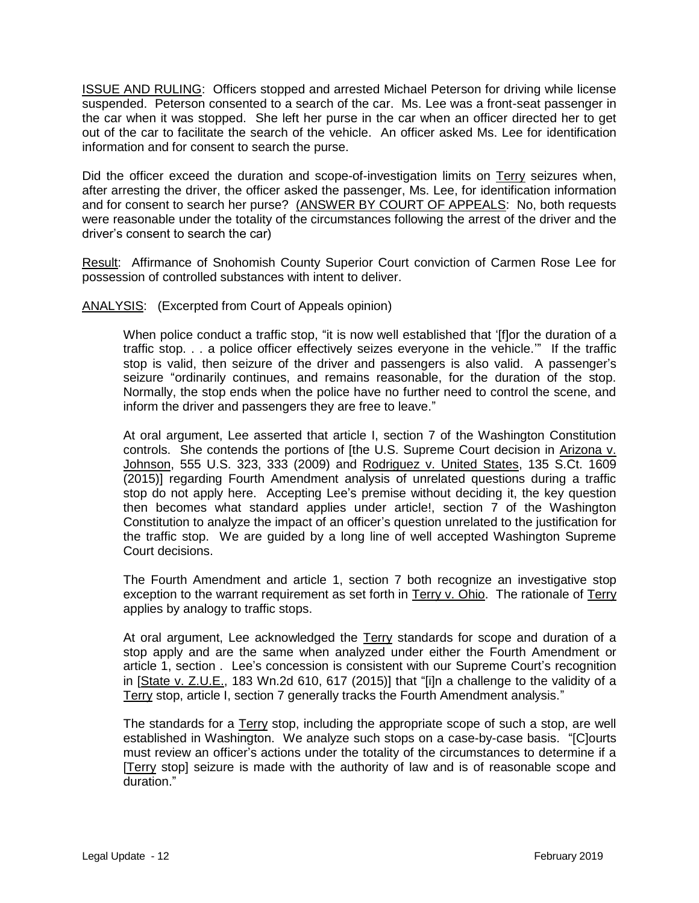ISSUE AND RULING: Officers stopped and arrested Michael Peterson for driving while license suspended. Peterson consented to a search of the car. Ms. Lee was a front-seat passenger in the car when it was stopped. She left her purse in the car when an officer directed her to get out of the car to facilitate the search of the vehicle. An officer asked Ms. Lee for identification information and for consent to search the purse.

Did the officer exceed the duration and scope-of-investigation limits on Terry seizures when, after arresting the driver, the officer asked the passenger, Ms. Lee, for identification information and for consent to search her purse? (ANSWER BY COURT OF APPEALS: No, both requests were reasonable under the totality of the circumstances following the arrest of the driver and the driver's consent to search the car)

Result: Affirmance of Snohomish County Superior Court conviction of Carmen Rose Lee for possession of controlled substances with intent to deliver.

ANALYSIS: (Excerpted from Court of Appeals opinion)

When police conduct a traffic stop, "it is now well established that '[f]or the duration of a traffic stop. . . a police officer effectively seizes everyone in the vehicle.'" If the traffic stop is valid, then seizure of the driver and passengers is also valid. A passenger's seizure "ordinarily continues, and remains reasonable, for the duration of the stop. Normally, the stop ends when the police have no further need to control the scene, and inform the driver and passengers they are free to leave."

At oral argument, Lee asserted that article I, section 7 of the Washington Constitution controls. She contends the portions of [the U.S. Supreme Court decision in Arizona v. Johnson, 555 U.S. 323, 333 (2009) and Rodriguez v. United States, 135 S.Ct. 1609 (2015)] regarding Fourth Amendment analysis of unrelated questions during a traffic stop do not apply here. Accepting Lee's premise without deciding it, the key question then becomes what standard applies under article!, section 7 of the Washington Constitution to analyze the impact of an officer's question unrelated to the justification for the traffic stop. We are guided by a long line of well accepted Washington Supreme Court decisions.

The Fourth Amendment and article 1, section 7 both recognize an investigative stop exception to the warrant requirement as set forth in Terry v. Ohio. The rationale of Terry applies by analogy to traffic stops.

At oral argument, Lee acknowledged the Terry standards for scope and duration of a stop apply and are the same when analyzed under either the Fourth Amendment or article 1, section . Lee's concession is consistent with our Supreme Court's recognition in [State v. Z.U.E., 183 Wn.2d 610, 617 (2015)] that "[i]n a challenge to the validity of a Terry stop, article I, section 7 generally tracks the Fourth Amendment analysis."

The standards for a Terry stop, including the appropriate scope of such a stop, are well established in Washington. We analyze such stops on a case-by-case basis. "[C]ourts must review an officer's actions under the totality of the circumstances to determine if a [Terry stop] seizure is made with the authority of law and is of reasonable scope and duration."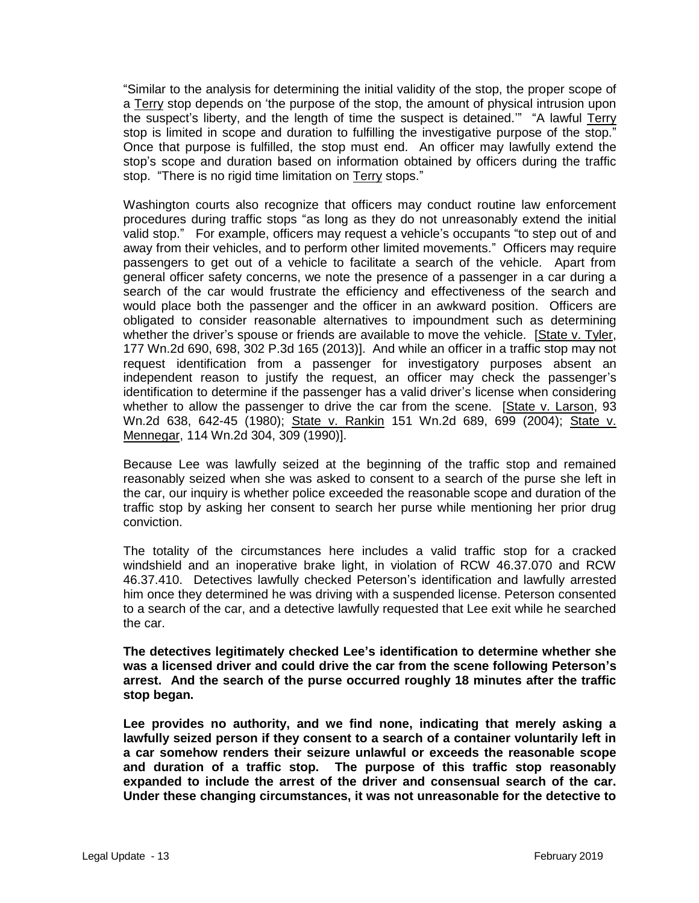"Similar to the analysis for determining the initial validity of the stop, the proper scope of a Terry stop depends on 'the purpose of the stop, the amount of physical intrusion upon the suspect's liberty, and the length of time the suspect is detained.'" "A lawful Terry stop is limited in scope and duration to fulfilling the investigative purpose of the stop." Once that purpose is fulfilled, the stop must end. An officer may lawfully extend the stop's scope and duration based on information obtained by officers during the traffic stop. "There is no rigid time limitation on Terry stops."

Washington courts also recognize that officers may conduct routine law enforcement procedures during traffic stops "as long as they do not unreasonably extend the initial valid stop." For example, officers may request a vehicle's occupants "to step out of and away from their vehicles, and to perform other limited movements." Officers may require passengers to get out of a vehicle to facilitate a search of the vehicle. Apart from general officer safety concerns, we note the presence of a passenger in a car during a search of the car would frustrate the efficiency and effectiveness of the search and would place both the passenger and the officer in an awkward position. Officers are obligated to consider reasonable alternatives to impoundment such as determining whether the driver's spouse or friends are available to move the vehicle. [State v. Tyler, 177 Wn.2d 690, 698, 302 P.3d 165 (2013)]. And while an officer in a traffic stop may not request identification from a passenger for investigatory purposes absent an independent reason to justify the request, an officer may check the passenger's identification to determine if the passenger has a valid driver's license when considering whether to allow the passenger to drive the car from the scene. [State v. Larson, 93 Wn.2d 638, 642-45 (1980); State v. Rankin 151 Wn.2d 689, 699 (2004); State v. Mennegar, 114 Wn.2d 304, 309 (1990)].

Because Lee was lawfully seized at the beginning of the traffic stop and remained reasonably seized when she was asked to consent to a search of the purse she left in the car, our inquiry is whether police exceeded the reasonable scope and duration of the traffic stop by asking her consent to search her purse while mentioning her prior drug conviction.

The totality of the circumstances here includes a valid traffic stop for a cracked windshield and an inoperative brake light, in violation of RCW 46.37.070 and RCW 46.37.410. Detectives lawfully checked Peterson's identification and lawfully arrested him once they determined he was driving with a suspended license. Peterson consented to a search of the car, and a detective lawfully requested that Lee exit while he searched the car.

**The detectives legitimately checked Lee's identification to determine whether she was a licensed driver and could drive the car from the scene following Peterson's arrest. And the search of the purse occurred roughly 18 minutes after the traffic stop began.** 

**Lee provides no authority, and we find none, indicating that merely asking a lawfully seized person if they consent to a search of a container voluntarily left in a car somehow renders their seizure unlawful or exceeds the reasonable scope and duration of a traffic stop. The purpose of this traffic stop reasonably expanded to include the arrest of the driver and consensual search of the car. Under these changing circumstances, it was not unreasonable for the detective to**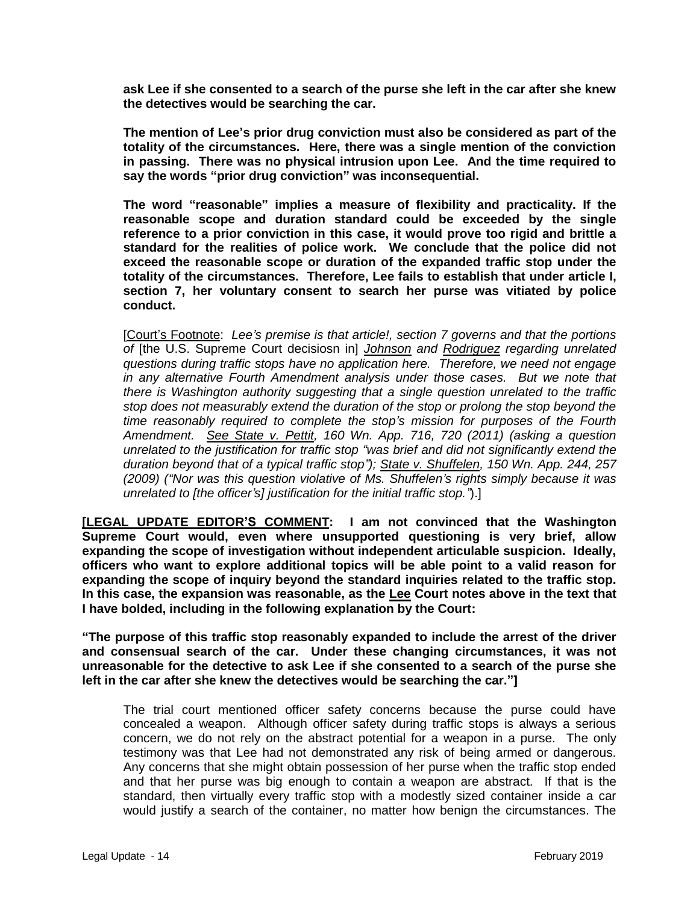**ask Lee if she consented to a search of the purse she left in the car after she knew the detectives would be searching the car.** 

**The mention of Lee's prior drug conviction must also be considered as part of the totality of the circumstances. Here, there was a single mention of the conviction in passing. There was no physical intrusion upon Lee. And the time required to say the words "prior drug conviction" was inconsequential.** 

**The word "reasonable" implies a measure of flexibility and practicality. If the reasonable scope and duration standard could be exceeded by the single reference to a prior conviction in this case, it would prove too rigid and brittle a standard for the realities of police work. We conclude that the police did not exceed the reasonable scope or duration of the expanded traffic stop under the totality of the circumstances. Therefore, Lee fails to establish that under article I, section 7, her voluntary consent to search her purse was vitiated by police conduct.**

[Court's Footnote: *Lee's premise is that article!, section 7 governs and that the portions of* [the U.S. Supreme Court decisiosn in] *Johnson and Rodriguez regarding unrelated questions during traffic stops have no application here. Therefore, we need not engage in any alternative Fourth Amendment analysis under those cases. But we note that there is Washington authority suggesting that a single question unrelated to the traffic stop does not measurably extend the duration of the stop or prolong the stop beyond the time reasonably required to complete the stop's mission for purposes of the Fourth Amendment. See State v. Pettit, 160 Wn. App. 716, 720 (2011) (asking a question unrelated to the justification for traffic stop "was brief and did not significantly extend the duration beyond that of a typical traffic stop"); State v. Shuffelen, 150 Wn. App. 244, 257 (2009) ("Nor was this question violative of Ms. Shuffelen's rights simply because it was unrelated to [the officer's] justification for the initial traffic stop."*).]

**[LEGAL UPDATE EDITOR'S COMMENT: I am not convinced that the Washington Supreme Court would, even where unsupported questioning is very brief, allow expanding the scope of investigation without independent articulable suspicion. Ideally, officers who want to explore additional topics will be able point to a valid reason for expanding the scope of inquiry beyond the standard inquiries related to the traffic stop. In this case, the expansion was reasonable, as the Lee Court notes above in the text that I have bolded, including in the following explanation by the Court:**

**"The purpose of this traffic stop reasonably expanded to include the arrest of the driver and consensual search of the car. Under these changing circumstances, it was not unreasonable for the detective to ask Lee if she consented to a search of the purse she left in the car after she knew the detectives would be searching the car."]** 

The trial court mentioned officer safety concerns because the purse could have concealed a weapon. Although officer safety during traffic stops is always a serious concern, we do not rely on the abstract potential for a weapon in a purse. The only testimony was that Lee had not demonstrated any risk of being armed or dangerous. Any concerns that she might obtain possession of her purse when the traffic stop ended and that her purse was big enough to contain a weapon are abstract. If that is the standard, then virtually every traffic stop with a modestly sized container inside a car would justify a search of the container, no matter how benign the circumstances. The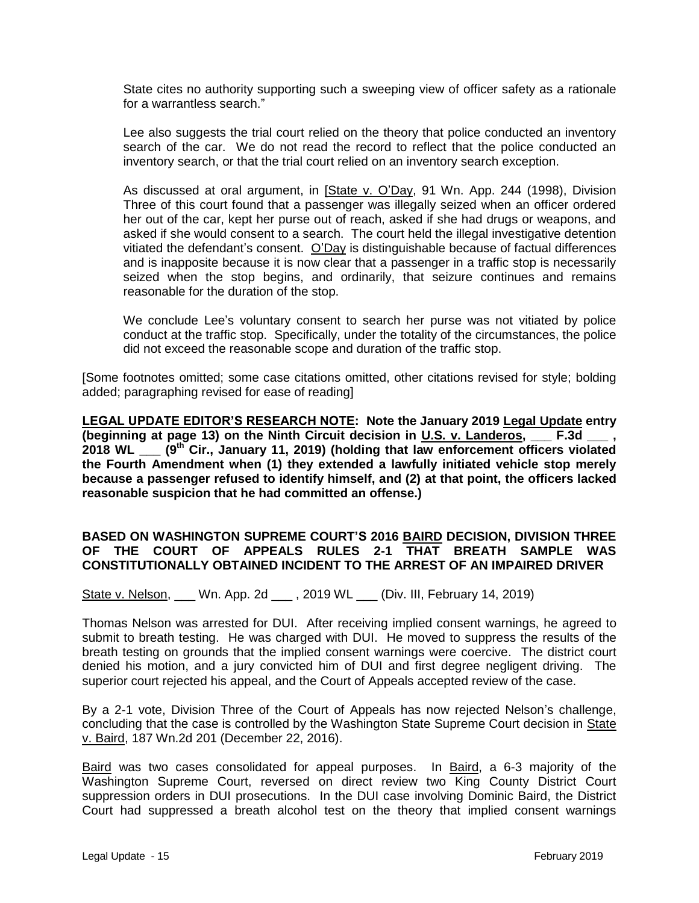State cites no authority supporting such a sweeping view of officer safety as a rationale for a warrantless search."

Lee also suggests the trial court relied on the theory that police conducted an inventory search of the car. We do not read the record to reflect that the police conducted an inventory search, or that the trial court relied on an inventory search exception.

As discussed at oral argument, in [State v. O'Day, 91 Wn. App. 244 (1998), Division Three of this court found that a passenger was illegally seized when an officer ordered her out of the car, kept her purse out of reach, asked if she had drugs or weapons, and asked if she would consent to a search. The court held the illegal investigative detention vitiated the defendant's consent. O'Day is distinguishable because of factual differences and is inapposite because it is now clear that a passenger in a traffic stop is necessarily seized when the stop begins, and ordinarily, that seizure continues and remains reasonable for the duration of the stop.

We conclude Lee's voluntary consent to search her purse was not vitiated by police conduct at the traffic stop. Specifically, under the totality of the circumstances, the police did not exceed the reasonable scope and duration of the traffic stop.

[Some footnotes omitted; some case citations omitted, other citations revised for style; bolding added; paragraphing revised for ease of reading]

**LEGAL UPDATE EDITOR'S RESEARCH NOTE: Note the January 2019 Legal Update entry (beginning at page 13) on the Ninth Circuit decision in U.S. v. Landeros, \_\_\_ F.3d \_\_\_ , 2018 WL \_\_\_ (9th Cir., January 11, 2019) (holding that law enforcement officers violated the Fourth Amendment when (1) they extended a lawfully initiated vehicle stop merely because a passenger refused to identify himself, and (2) at that point, the officers lacked reasonable suspicion that he had committed an offense.)** 

# **BASED ON WASHINGTON SUPREME COURT'S 2016 BAIRD DECISION, DIVISION THREE OF THE COURT OF APPEALS RULES 2-1 THAT BREATH SAMPLE WAS CONSTITUTIONALLY OBTAINED INCIDENT TO THE ARREST OF AN IMPAIRED DRIVER**

State v. Nelson, \_\_\_ Wn. App. 2d \_\_\_, 2019 WL \_\_\_ (Div. III, February 14, 2019)

Thomas Nelson was arrested for DUI. After receiving implied consent warnings, he agreed to submit to breath testing. He was charged with DUI. He moved to suppress the results of the breath testing on grounds that the implied consent warnings were coercive. The district court denied his motion, and a jury convicted him of DUI and first degree negligent driving. The superior court rejected his appeal, and the Court of Appeals accepted review of the case.

By a 2-1 vote, Division Three of the Court of Appeals has now rejected Nelson's challenge, concluding that the case is controlled by the Washington State Supreme Court decision in State v. Baird, 187 Wn.2d 201 (December 22, 2016).

Baird was two cases consolidated for appeal purposes. In Baird, a 6-3 majority of the Washington Supreme Court, reversed on direct review two King County District Court suppression orders in DUI prosecutions. In the DUI case involving Dominic Baird, the District Court had suppressed a breath alcohol test on the theory that implied consent warnings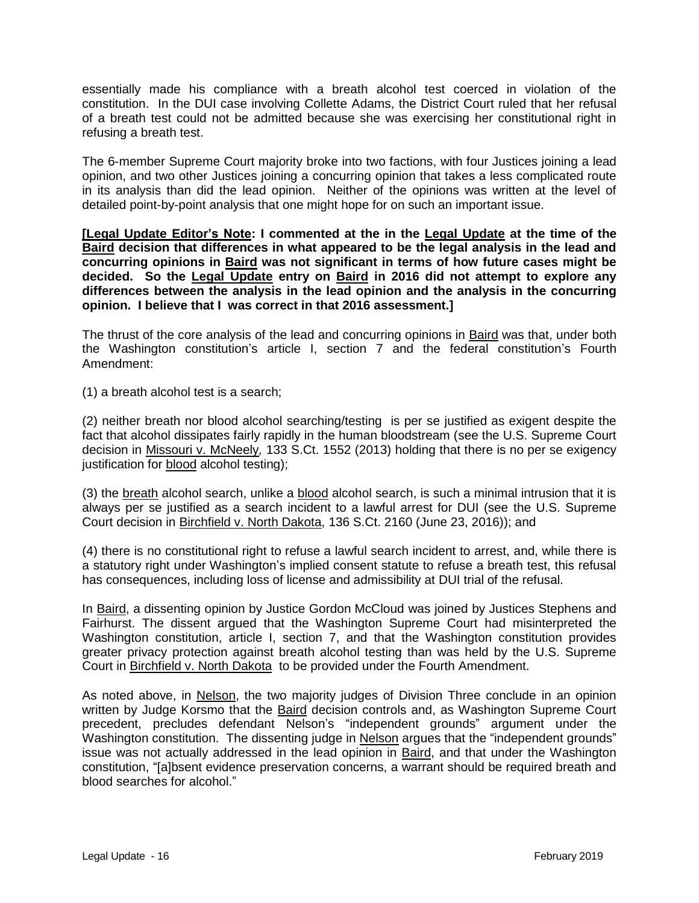essentially made his compliance with a breath alcohol test coerced in violation of the constitution. In the DUI case involving Collette Adams, the District Court ruled that her refusal of a breath test could not be admitted because she was exercising her constitutional right in refusing a breath test.

The 6-member Supreme Court majority broke into two factions, with four Justices joining a lead opinion, and two other Justices joining a concurring opinion that takes a less complicated route in its analysis than did the lead opinion. Neither of the opinions was written at the level of detailed point-by-point analysis that one might hope for on such an important issue.

**[Legal Update Editor's Note: I commented at the in the Legal Update at the time of the Baird decision that differences in what appeared to be the legal analysis in the lead and concurring opinions in Baird was not significant in terms of how future cases might be decided. So the Legal Update entry on Baird in 2016 did not attempt to explore any differences between the analysis in the lead opinion and the analysis in the concurring opinion. I believe that I was correct in that 2016 assessment.]**

The thrust of the core analysis of the lead and concurring opinions in Baird was that, under both the Washington constitution's article I, section 7 and the federal constitution's Fourth Amendment:

(1) a breath alcohol test is a search;

(2) neither breath nor blood alcohol searching/testing is per se justified as exigent despite the fact that alcohol dissipates fairly rapidly in the human bloodstream (see the U.S. Supreme Court decision in Missouri v. McNeely*,* [133 S.Ct. 1552](http://lawriter.net/getCitState.aspx?series=S.Ct.&citationno=133+S.Ct.+1552&scd=WA) (2013) holding that there is no per se exigency justification for blood alcohol testing);

(3) the breath alcohol search, unlike a blood alcohol search, is such a minimal intrusion that it is always per se justified as a search incident to a lawful arrest for DUI (see the U.S. Supreme Court decision in Birchfield v. North Dakota, 136 S.Ct. 2160 (June 23, 2016)); and

(4) there is no constitutional right to refuse a lawful search incident to arrest, and, while there is a statutory right under Washington's implied consent statute to refuse a breath test, this refusal has consequences, including loss of license and admissibility at DUI trial of the refusal.

In Baird, a dissenting opinion by Justice Gordon McCloud was joined by Justices Stephens and Fairhurst. The dissent argued that the Washington Supreme Court had misinterpreted the Washington constitution, article I, section 7, and that the Washington constitution provides greater privacy protection against breath alcohol testing than was held by the U.S. Supreme Court in Birchfield v. North Dakota to be provided under the Fourth Amendment.

As noted above, in Nelson, the two majority judges of Division Three conclude in an opinion written by Judge Korsmo that the Baird decision controls and, as Washington Supreme Court precedent, precludes defendant Nelson's "independent grounds" argument under the Washington constitution. The dissenting judge in Nelson argues that the "independent grounds" issue was not actually addressed in the lead opinion in Baird, and that under the Washington constitution, "[a]bsent evidence preservation concerns, a warrant should be required breath and blood searches for alcohol."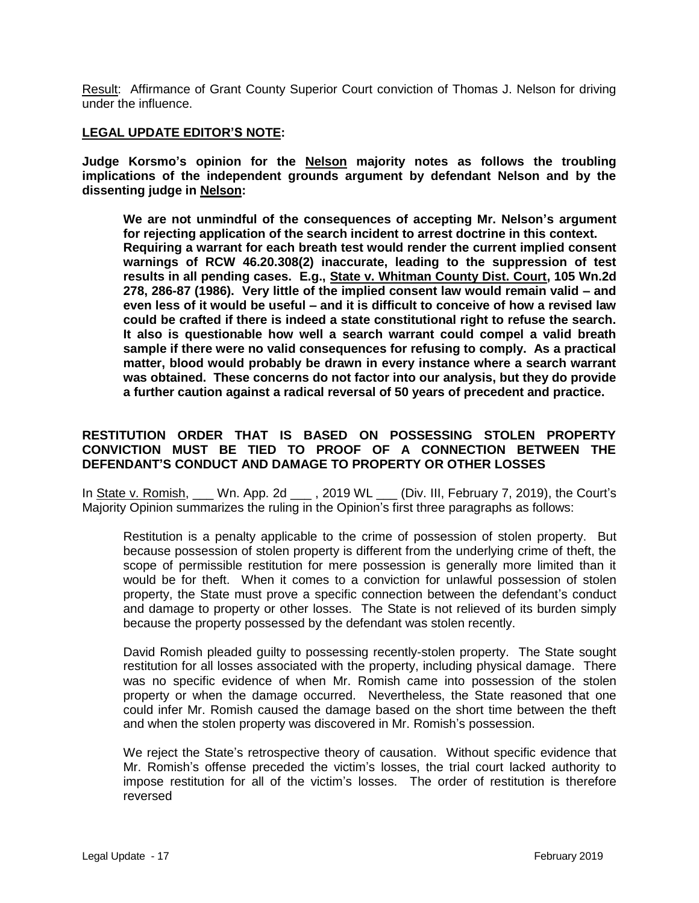Result: Affirmance of Grant County Superior Court conviction of Thomas J. Nelson for driving under the influence.

### **LEGAL UPDATE EDITOR'S NOTE:**

**Judge Korsmo's opinion for the Nelson majority notes as follows the troubling implications of the independent grounds argument by defendant Nelson and by the dissenting judge in Nelson:**

**We are not unmindful of the consequences of accepting Mr. Nelson's argument for rejecting application of the search incident to arrest doctrine in this context. Requiring a warrant for each breath test would render the current implied consent warnings of RCW 46.20.308(2) inaccurate, leading to the suppression of test results in all pending cases. E.g., State v. Whitman County Dist. Court, 105 Wn.2d 278, 286-87 (1986). Very little of the implied consent law would remain valid – and even less of it would be useful – and it is difficult to conceive of how a revised law could be crafted if there is indeed a state constitutional right to refuse the search. It also is questionable how well a search warrant could compel a valid breath sample if there were no valid consequences for refusing to comply. As a practical matter, blood would probably be drawn in every instance where a search warrant was obtained. These concerns do not factor into our analysis, but they do provide a further caution against a radical reversal of 50 years of precedent and practice.**

### **RESTITUTION ORDER THAT IS BASED ON POSSESSING STOLEN PROPERTY CONVICTION MUST BE TIED TO PROOF OF A CONNECTION BETWEEN THE DEFENDANT'S CONDUCT AND DAMAGE TO PROPERTY OR OTHER LOSSES**

In State v. Romish, \_\_\_ Wn. App. 2d \_\_\_ , 2019 WL \_\_\_ (Div. III, February 7, 2019), the Court's Majority Opinion summarizes the ruling in the Opinion's first three paragraphs as follows:

Restitution is a penalty applicable to the crime of possession of stolen property. But because possession of stolen property is different from the underlying crime of theft, the scope of permissible restitution for mere possession is generally more limited than it would be for theft. When it comes to a conviction for unlawful possession of stolen property, the State must prove a specific connection between the defendant's conduct and damage to property or other losses. The State is not relieved of its burden simply because the property possessed by the defendant was stolen recently.

David Romish pleaded guilty to possessing recently-stolen property. The State sought restitution for all losses associated with the property, including physical damage. There was no specific evidence of when Mr. Romish came into possession of the stolen property or when the damage occurred. Nevertheless, the State reasoned that one could infer Mr. Romish caused the damage based on the short time between the theft and when the stolen property was discovered in Mr. Romish's possession.

We reject the State's retrospective theory of causation. Without specific evidence that Mr. Romish's offense preceded the victim's losses, the trial court lacked authority to impose restitution for all of the victim's losses. The order of restitution is therefore reversed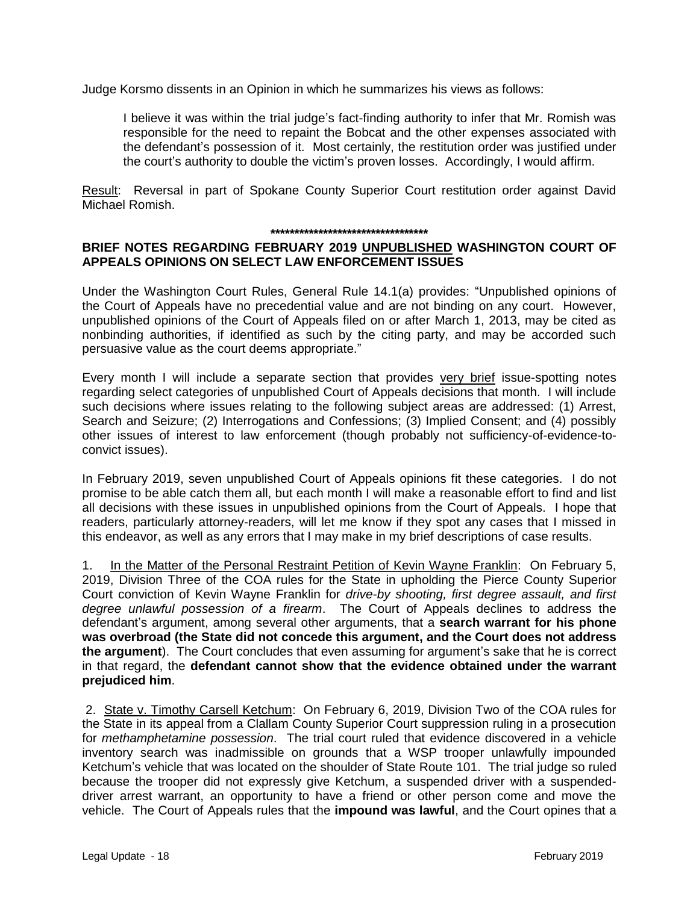Judge Korsmo dissents in an Opinion in which he summarizes his views as follows:

I believe it was within the trial judge's fact-finding authority to infer that Mr. Romish was responsible for the need to repaint the Bobcat and the other expenses associated with the defendant's possession of it. Most certainly, the restitution order was justified under the court's authority to double the victim's proven losses. Accordingly, I would affirm.

Result: Reversal in part of Spokane County Superior Court restitution order against David Michael Romish.

#### **\*\*\*\*\*\*\*\*\*\*\*\*\*\*\*\*\*\*\*\*\*\*\*\*\*\*\*\*\*\*\*\*\***

### **BRIEF NOTES REGARDING FEBRUARY 2019 UNPUBLISHED WASHINGTON COURT OF APPEALS OPINIONS ON SELECT LAW ENFORCEMENT ISSUES**

Under the Washington Court Rules, General Rule 14.1(a) provides: "Unpublished opinions of the Court of Appeals have no precedential value and are not binding on any court. However, unpublished opinions of the Court of Appeals filed on or after March 1, 2013, may be cited as nonbinding authorities, if identified as such by the citing party, and may be accorded such persuasive value as the court deems appropriate."

Every month I will include a separate section that provides very brief issue-spotting notes regarding select categories of unpublished Court of Appeals decisions that month. I will include such decisions where issues relating to the following subject areas are addressed: (1) Arrest, Search and Seizure; (2) Interrogations and Confessions; (3) Implied Consent; and (4) possibly other issues of interest to law enforcement (though probably not sufficiency-of-evidence-toconvict issues).

In February 2019, seven unpublished Court of Appeals opinions fit these categories. I do not promise to be able catch them all, but each month I will make a reasonable effort to find and list all decisions with these issues in unpublished opinions from the Court of Appeals. I hope that readers, particularly attorney-readers, will let me know if they spot any cases that I missed in this endeavor, as well as any errors that I may make in my brief descriptions of case results.

1. In the Matter of the Personal Restraint Petition of Kevin Wayne Franklin: On February 5, 2019, Division Three of the COA rules for the State in upholding the Pierce County Superior Court conviction of Kevin Wayne Franklin for *drive-by shooting, first degree assault, and first degree unlawful possession of a firearm*. The Court of Appeals declines to address the defendant's argument, among several other arguments, that a **search warrant for his phone was overbroad (the State did not concede this argument, and the Court does not address the argument**). The Court concludes that even assuming for argument's sake that he is correct in that regard, the **defendant cannot show that the evidence obtained under the warrant prejudiced him**.

2. State v. Timothy Carsell Ketchum: On February 6, 2019, Division Two of the COA rules for the State in its appeal from a Clallam County Superior Court suppression ruling in a prosecution for *methamphetamine possession*. The trial court ruled that evidence discovered in a vehicle inventory search was inadmissible on grounds that a WSP trooper unlawfully impounded Ketchum's vehicle that was located on the shoulder of State Route 101. The trial judge so ruled because the trooper did not expressly give Ketchum, a suspended driver with a suspendeddriver arrest warrant, an opportunity to have a friend or other person come and move the vehicle. The Court of Appeals rules that the **impound was lawful**, and the Court opines that a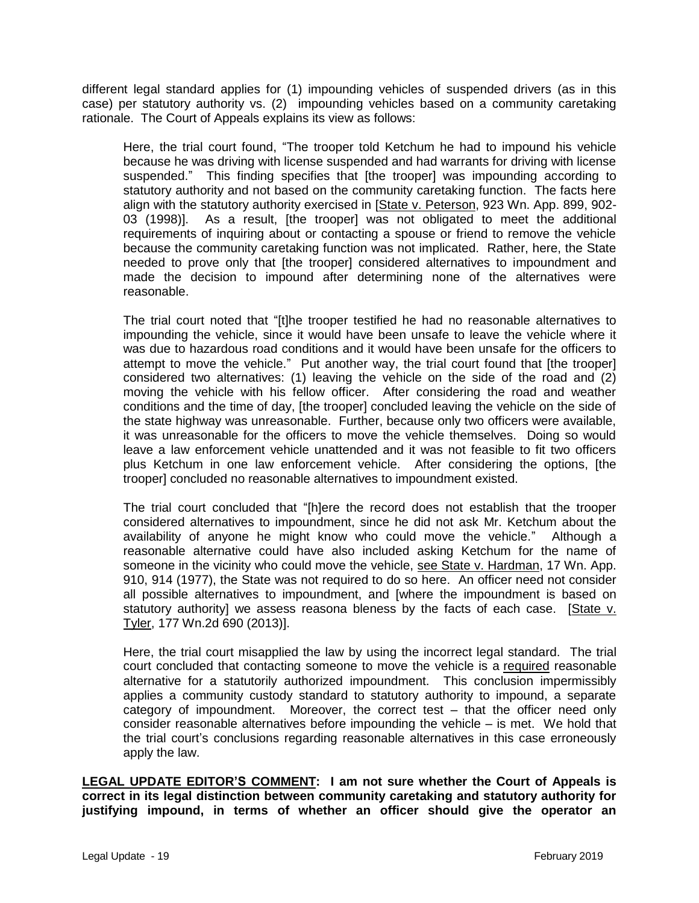different legal standard applies for (1) impounding vehicles of suspended drivers (as in this case) per statutory authority vs. (2) impounding vehicles based on a community caretaking rationale. The Court of Appeals explains its view as follows:

Here, the trial court found, "The trooper told Ketchum he had to impound his vehicle because he was driving with license suspended and had warrants for driving with license suspended." This finding specifies that [the trooper] was impounding according to statutory authority and not based on the community caretaking function. The facts here align with the statutory authority exercised in [State v. Peterson, 923 Wn. App. 899, 902-03 (1998)]. As a result, [the trooper] was not obligated to meet the additional requirements of inquiring about or contacting a spouse or friend to remove the vehicle because the community caretaking function was not implicated. Rather, here, the State needed to prove only that [the trooper] considered alternatives to impoundment and made the decision to impound after determining none of the alternatives were reasonable.

The trial court noted that "[t]he trooper testified he had no reasonable alternatives to impounding the vehicle, since it would have been unsafe to leave the vehicle where it was due to hazardous road conditions and it would have been unsafe for the officers to attempt to move the vehicle." Put another way, the trial court found that [the trooper] considered two alternatives: (1) leaving the vehicle on the side of the road and (2) moving the vehicle with his fellow officer. After considering the road and weather conditions and the time of day, [the trooper] concluded leaving the vehicle on the side of the state highway was unreasonable. Further, because only two officers were available, it was unreasonable for the officers to move the vehicle themselves. Doing so would leave a law enforcement vehicle unattended and it was not feasible to fit two officers plus Ketchum in one law enforcement vehicle. After considering the options, [the trooper] concluded no reasonable alternatives to impoundment existed.

The trial court concluded that "[h]ere the record does not establish that the trooper considered alternatives to impoundment, since he did not ask Mr. Ketchum about the availability of anyone he might know who could move the vehicle." Although a reasonable alternative could have also included asking Ketchum for the name of someone in the vicinity who could move the vehicle, see State v. Hardman, 17 Wn. App. 910, 914 (1977), the State was not required to do so here. An officer need not consider all possible alternatives to impoundment, and [where the impoundment is based on statutory authority] we assess reasona bleness by the facts of each case. [State v. Tyler, 177 Wn.2d 690 (2013)].

Here, the trial court misapplied the law by using the incorrect legal standard. The trial court concluded that contacting someone to move the vehicle is a required reasonable alternative for a statutorily authorized impoundment. This conclusion impermissibly applies a community custody standard to statutory authority to impound, a separate category of impoundment. Moreover, the correct test – that the officer need only consider reasonable alternatives before impounding the vehicle – is met. We hold that the trial court's conclusions regarding reasonable alternatives in this case erroneously apply the law.

**LEGAL UPDATE EDITOR'S COMMENT: I am not sure whether the Court of Appeals is correct in its legal distinction between community caretaking and statutory authority for justifying impound, in terms of whether an officer should give the operator an**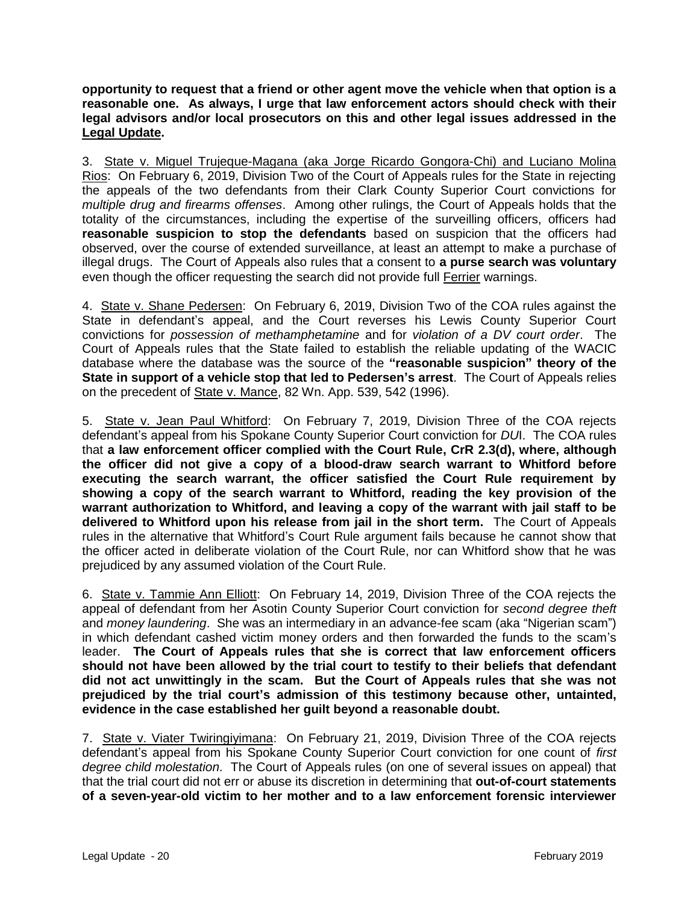**opportunity to request that a friend or other agent move the vehicle when that option is a reasonable one. As always, I urge that law enforcement actors should check with their legal advisors and/or local prosecutors on this and other legal issues addressed in the Legal Update.**

3. State v. Miguel Trujeque-Magana (aka Jorge Ricardo Gongora-Chi) and Luciano Molina Rios: On February 6, 2019, Division Two of the Court of Appeals rules for the State in rejecting the appeals of the two defendants from their Clark County Superior Court convictions for *multiple drug and firearms offenses*. Among other rulings, the Court of Appeals holds that the totality of the circumstances, including the expertise of the surveilling officers, officers had **reasonable suspicion to stop the defendants** based on suspicion that the officers had observed, over the course of extended surveillance, at least an attempt to make a purchase of illegal drugs. The Court of Appeals also rules that a consent to **a purse search was voluntary** even though the officer requesting the search did not provide full Ferrier warnings.

4. State v. Shane Pedersen: On February 6, 2019, Division Two of the COA rules against the State in defendant's appeal, and the Court reverses his Lewis County Superior Court convictions for *possession of methamphetamine* and for *violation of a DV court order*. The Court of Appeals rules that the State failed to establish the reliable updating of the WACIC database where the database was the source of the **"reasonable suspicion" theory of the State in support of a vehicle stop that led to Pedersen's arrest**. The Court of Appeals relies on the precedent of State v. Mance, 82 Wn. App. 539, 542 (1996).

5. State v. Jean Paul Whitford: On February 7, 2019, Division Three of the COA rejects defendant's appeal from his Spokane County Superior Court conviction for *DU*I. The COA rules that **a law enforcement officer complied with the Court Rule, CrR 2.3(d), where, although the officer did not give a copy of a blood-draw search warrant to Whitford before executing the search warrant, the officer satisfied the Court Rule requirement by showing a copy of the search warrant to Whitford, reading the key provision of the warrant authorization to Whitford, and leaving a copy of the warrant with jail staff to be delivered to Whitford upon his release from jail in the short term.** The Court of Appeals rules in the alternative that Whitford's Court Rule argument fails because he cannot show that the officer acted in deliberate violation of the Court Rule, nor can Whitford show that he was prejudiced by any assumed violation of the Court Rule.

6. State v. Tammie Ann Elliott: On February 14, 2019, Division Three of the COA rejects the appeal of defendant from her Asotin County Superior Court conviction for *second degree theft*  and *money laundering*. She was an intermediary in an advance-fee scam (aka "Nigerian scam") in which defendant cashed victim money orders and then forwarded the funds to the scam's leader. **The Court of Appeals rules that she is correct that law enforcement officers should not have been allowed by the trial court to testify to their beliefs that defendant did not act unwittingly in the scam. But the Court of Appeals rules that she was not prejudiced by the trial court's admission of this testimony because other, untainted, evidence in the case established her guilt beyond a reasonable doubt.**

7. State v. Viater Twiringiyimana: On February 21, 2019, Division Three of the COA rejects defendant's appeal from his Spokane County Superior Court conviction for one count of *first degree child molestation*. The Court of Appeals rules (on one of several issues on appeal) that that the trial court did not err or abuse its discretion in determining that **out-of-court statements of a seven-year-old victim to her mother and to a law enforcement forensic interviewer**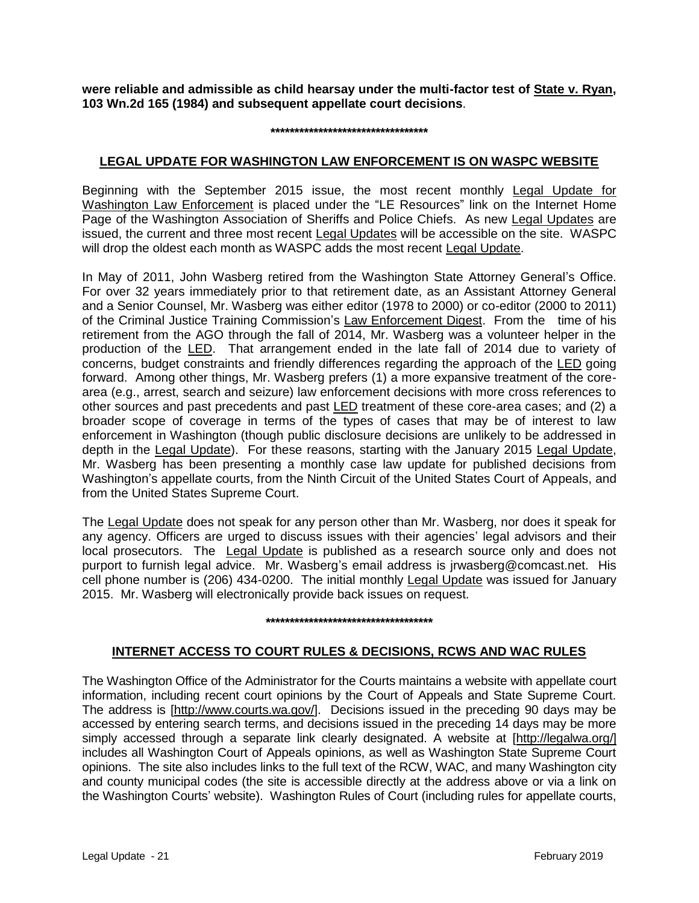**were reliable and admissible as child hearsay under the multi-factor test of State v. Ryan, 103 Wn.2d 165 (1984) and subsequent appellate court decisions**.

#### **\*\*\*\*\*\*\*\*\*\*\*\*\*\*\*\*\*\*\*\*\*\*\*\*\*\*\*\*\*\*\*\*\***

### **LEGAL UPDATE FOR WASHINGTON LAW ENFORCEMENT IS ON WASPC WEBSITE**

Beginning with the September 2015 issue, the most recent monthly Legal Update for Washington Law Enforcement is placed under the "LE Resources" link on the Internet Home Page of the Washington Association of Sheriffs and Police Chiefs. As new Legal Updates are issued, the current and three most recent Legal Updates will be accessible on the site. WASPC will drop the oldest each month as WASPC adds the most recent Legal Update.

In May of 2011, John Wasberg retired from the Washington State Attorney General's Office. For over 32 years immediately prior to that retirement date, as an Assistant Attorney General and a Senior Counsel, Mr. Wasberg was either editor (1978 to 2000) or co-editor (2000 to 2011) of the Criminal Justice Training Commission's Law Enforcement Digest. From the time of his retirement from the AGO through the fall of 2014, Mr. Wasberg was a volunteer helper in the production of the LED. That arrangement ended in the late fall of 2014 due to variety of concerns, budget constraints and friendly differences regarding the approach of the LED going forward. Among other things, Mr. Wasberg prefers (1) a more expansive treatment of the corearea (e.g., arrest, search and seizure) law enforcement decisions with more cross references to other sources and past precedents and past LED treatment of these core-area cases; and (2) a broader scope of coverage in terms of the types of cases that may be of interest to law enforcement in Washington (though public disclosure decisions are unlikely to be addressed in depth in the Legal Update). For these reasons, starting with the January 2015 Legal Update, Mr. Wasberg has been presenting a monthly case law update for published decisions from Washington's appellate courts, from the Ninth Circuit of the United States Court of Appeals, and from the United States Supreme Court.

The Legal Update does not speak for any person other than Mr. Wasberg, nor does it speak for any agency. Officers are urged to discuss issues with their agencies' legal advisors and their local prosecutors. The Legal Update is published as a research source only and does not purport to furnish legal advice. Mr. Wasberg's email address is jrwasberg@comcast.net. His cell phone number is (206) 434-0200. The initial monthly Legal Update was issued for January 2015. Mr. Wasberg will electronically provide back issues on request.

#### **\*\*\*\*\*\*\*\*\*\*\*\*\*\*\*\*\*\*\*\*\*\*\*\*\*\*\*\*\*\*\*\*\*\*\***

# **INTERNET ACCESS TO COURT RULES & DECISIONS, RCWS AND WAC RULES**

The Washington Office of the Administrator for the Courts maintains a website with appellate court information, including recent court opinions by the Court of Appeals and State Supreme Court. The address is [http://www.courts.wa.gov/]. Decisions issued in the preceding 90 days may be accessed by entering search terms, and decisions issued in the preceding 14 days may be more simply accessed through a separate link clearly designated. A website at [http://legalwa.org/] includes all Washington Court of Appeals opinions, as well as Washington State Supreme Court opinions. The site also includes links to the full text of the RCW, WAC, and many Washington city and county municipal codes (the site is accessible directly at the address above or via a link on the Washington Courts' website). Washington Rules of Court (including rules for appellate courts,